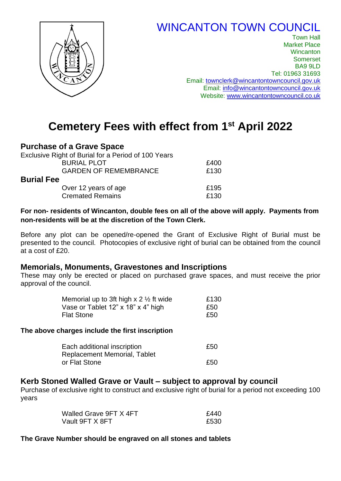# WINCANTON TOWN COUNCIL



Town Hall Market Place **Wincanton** Somerset BA9 9LD Tel: 01963 31693 Email: [townclerk@wincantontowncouncil.gov.uk](mailto:townclerk@wincantontowncouncil.gov.uk) Email: [info@wincantontowncouncil.g](mailto:info@wincantontowncouncil.gov.uk)ov.uk Website: [www.wincantontowncouncil.co.uk](http://www.wincantontowncouncil.co.uk/)

# **Cemetery Fees with effect from 1st April 2022**

## **Purchase of a Grave Space**

| Exclusive Right of Burial for a Period of 100 Years |      |
|-----------------------------------------------------|------|
| <b>BURIAL PLOT</b>                                  | £400 |
| <b>GARDEN OF REMEMBRANCE</b>                        | £130 |
| <b>Burial Fee</b>                                   |      |
| Over 12 years of age                                | £195 |
| <b>Cremated Remains</b>                             | £130 |

#### **For non- residents of Wincanton, double fees on all of the above will apply. Payments from non-residents will be at the discretion of the Town Clerk.**

Before any plot can be opened/re-opened the Grant of Exclusive Right of Burial must be presented to the council. Photocopies of exclusive right of burial can be obtained from the council at a cost of £20.

## **Memorials, Monuments, Gravestones and Inscriptions**

These may only be erected or placed on purchased grave spaces, and must receive the prior approval of the council.

| Memorial up to 3ft high x 2 $\frac{1}{2}$ ft wide | £130 |
|---------------------------------------------------|------|
| Vase or Tablet 12" x 18" x 4" high                | £50  |
| Flat Stone                                        | £50  |

#### **The above charges include the first inscription**

| Each additional inscription  | £50 |
|------------------------------|-----|
| Replacement Memorial, Tablet |     |
| or Flat Stone                | £50 |

## **Kerb Stoned Walled Grave or Vault – subject to approval by council**

Purchase of exclusive right to construct and exclusive right of burial for a period not exceeding 100 years

| Walled Grave 9FT X 4FT | £440 |
|------------------------|------|
| Vault 9FT X 8FT        | £530 |

#### **The Grave Number should be engraved on all stones and tablets**